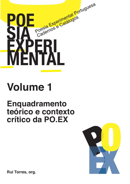

# **Volume 1**

### **Enquadramento teórico e contexto crítico da PO.EX**



**Rui Torres, org.**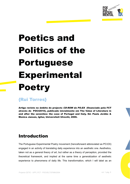

## **Poetics and Politics of the Portuguese Experimental Poetry**

#### **{Rui Torres}**

Artigo revisto no âmbito do projecto CD-ROM da PO.EX (financiado pela FCT através do POCI2010), publicado inicialmente em The Value of Literature in and after the seventies: the case of Portugal and Italy. Ed. Paula Jordão & Monica Jansen, Igitur, Universiteit Utrecht, 2006.

#### **Introduction**

The Portuguese Experimental Poetry movement (henceforward abbreviated as PO.EX) engaged in an activity of translating daily experience into an aesthetic one. Aesthetics, taken not as a general theory of art, but rather as a theory of perception, provided the theoretical framework, and implied at the same time a generalization of aesthetic experience to phenomena of daily life. This transformation, which I will label as an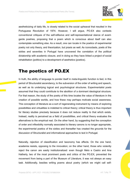

aestheticizing of daily life, is closely related to the social upheaval that resulted in the Portuguese Revolution of 1974. However, I will argue, PO.EX also contests conventional critiques of the self-reflexive and self-representational stance of avantgarde poetries, proposing that a poem which is conscious about itself can also contemplate something else. As a result, one can locate in the poetics of experimental poetry not only theory, and theorization, but praxis as well. As iconoclasts, poets of the sixties and seventies in Portugal have uncovered the correlation of the political dictatorship with academic closure, and in doing so they have linked a project of social rehabilitation (politics) to a development of aesthetics (poetics).

#### The poetics of PO.EX

In truth, the ability of language to ponder itself in meta-linguistic function is tied, in this period of Structuralist ascendancy, to the subversion of the order of writing and speech, as well as its underlying logical and psychological structures. Experimentalist poets assumed that they could contribute to the abolition of a dominant ideological structure. For that reason, the study of the poetry of this time locates the value of literature in the creation of possible worlds, and how these may perhaps motivate social awareness. This conception of literature as a sort of regenerating instrument by means of exploring possibilities and virtualities is indebted to critical theory; critical theory is thus important for literary studies precisely because it does not reduce reality to that which exists. Instead, reality is perceived as a field of possibilities, and critical theory evaluates the alternatives to the empirical real. On the other hand, by suggesting that the conception of order and inflexibility normally associated to literary canons is no longer appropriate, the experimental poetics of the sixties and thereafter has created the grounds for the discussion of Structuralist and informational approaches to text in Portugal.

Naturally, rejection of classification and taxonomy has effects. On the one hand, academia resists, opposing to the innovation; on the other hand, those who violently reject the canon are easily institutionalized: even though Melo e Castro and Ana Hatherly, two of the most prominent poets and critics of the PO.EX, prevented the movement from being a part of the Museum of Literature, it was not always an easy task. Additionally, besides writing poems about poetry (which we might call self-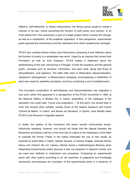

reflexive, self-referential, or simply meta-poems), the literary group sought to create a criticism of its own, hence subverting the function of both poetry and criticism. In its most radical form, this subversion is part of a larger project which involves the change, as well as a substitution, of the academic apparatus. In this perspective, experimental poets exposed the mechanisms and the institutions from which academicism emerged.

PO.EX also contests literary history (and historicism), proposing a new reflection about the function of poetry in a remediated new world. Urged by an impulse that comes from Formalism as well as from Dadaism, PO.EX makes a statement about the aestheticizing of the real, introducing in Portugal, to both the academy and the general public, concepts such as structure, information, and open work, along with those of demystification, and epiphany. The latter refer back to Shklovsky's deautomatization. Jakobson's estrangement, or Mukarovsky's ambiguity, encompassing a redefinition of what was meant by aesthetic perception, and thus comprising a sort of enlightenment.

This innovative combination of self-reflexivity and deautomatization has originated a new word, which first appeared in a retrospective of the PO.EX movement in 1980, at the National Gallery of Modern Art, in Lisbon: poeprática. In the catalogue of the exposition one could read: "houve uma poeprática...". At this point, one should bear in mind that several other exhibits, namely those at the Galeria Quadrum and Centro Cultural de Belém, in Lisbon, and Museu de Serralves, in Oporto, have literally taken PO.EX to the Museum it originally rejected.

In reality, the poetics of the movement still raises several controversial issues. Historically speaking, however, one should not forget that the dispute between the Movement and literary criticism of the time has its origins in the inadequacy of the latter to evaluate the former. Poetry in the sixties implicated the use of new media, as explored by poets Melo e Castro, Salette Tavares, or António Aragão, whereas literary theory and criticism did not. Literary criticism faced a methodological dilemma when interpreting Experimental poetry because it was not prepared to interpret novelty, and we need new methods to understand new processes. Comparing an experimental poem with other poems according to an old repertoire of judgments and knowledge necessarily encompasses the inscription of the experimental poem in a hierarchy of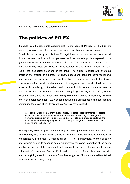

values which belongs to the established canon.

#### The politics of PO.EX

It should also be taken into account that, in the case of Portugal of the 60s, the hierarchy of values was framed by a generalized political and social repression of the Estado Novo. In reality, at this time Portugal breathes a very contradictory period, divided between the international openness, and the domestic political repression of a government ruled by António de Oliveira Salazar. This context is crucial in order to understand why poets and critics were so isolated, and it makes it easier for us to realize the ideological ambitions of the group. The sixties translate with enormous precision the erosion of a number of binary oppositions (left/right, center/periphery), and Portugal did not escape these contradictions. If, on the one hand, this decade opened ground for certain intellectual and critical agendas, such as structuralism, to be accepted by academy, on the other hand, it is also in this decade that we witness the evolution of the most brutal colonial wars being fought in Angola (in 1961), Guiné-Bissau (in 1962), and Mozambique (in 1964). Military campaigns multiplied by this time. and in this perspective, for PO.EX poets, attacking the political code was equivalent to confronting the established literary values. As they have insisted:

[a] Poesia Experimental Portuguesa atacou e ataca destrutivamente o código fossilizado da leitura sentimentalista e opressiva da língua portuguesa no momento preciso em que o sistema político fascista dele mais se reclama (no início da década de 60) para galvanizar o povo para as guerras do Ultramar. (Melo e Castro and Hatherly 176)

Subsequently, discussing and reintroducing the avant-garde makes sense because, as Ana Hatherly has shown, what characterizes avant-garde currents is their level of interference with the real ("O espaço crítico" 114-15). Furthermore, hybrids of poetry and criticism can be foreseen in some manifestoes: the same integration of the poetic function in the form of the work of art that instructs these manifestoes seems to appear in the self-reflexive poem. And manifestoes do not need a referent, they do not need to lean on anything else. As Mary Ann Caws has suggested, "its rules are self-contained. included in its own body" (xxv).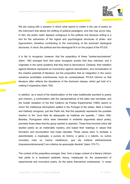

We are coping with a situation in which what seems to matter is the use of poetry as the instrument that allows the shifting of political paradigms, and that may prove risky. In fact, the poetic realm appears contiguous to the political one because writing is a tool for the subversion of the logical and psychological structures of phalo- and logocentrism, therefore contributing to the overcoming of the dominant ideological structures. In short, the political and the ideological fit in on the project of the PO.EX.

It is fair to recognize, however, that the poeprática of these "poetas-teorizadores" (idem, 146) emerges from that same bourgeois society that they criticized, and it originates in the same academy that they tried to deconstruct. Certainly, their rebellion against literature represents an insurrection against naturalization, and normalization of the creative potential of literature, but the proposition that an integration in the canon somehow annihilates inventiveness must be contextualized. PO.EX informs us that literature often reflects the decadence of the dominant classes, which get hold of it, making it inoperative (idem 150).

In addition, as a result of the disarticulation of the roles traditionally ascribed to poetry and criticism, a confrontation with the representatives of the latter was inevitable, and the hostile reception of the first Caderno de Poesia Experimental (1964) seems to mirror the intellectual atmosphere settled in the Portugal of the sixties. Melo e Castro and Hatherly recognize, just like Padin did, that this perplexity represents the possible reaction to the "pura falta de adequação às matérias em questão..." (idem 169). Besides, Portuguese critics were interested in erstwhile arguments about poetry, precisely those ideas that the group wanted to abandon. These time-honored critics still studied poetry as an inalienable mystery, and based their readings in values that formalism and structuralism had made obsolete. These values were "a verdade, a autenticidade, a inspiração, a pureza do lirismo, o génio e o talento, ou outros ou menos metafísicos, que ele instituía arbitrariamente conceitos mais (impressionisticamente?) em critérios de apreciação literária" (idem 170-71).

The context of the poeprática emerges, then, from a larger context of a literary criticism that yields to a backward aesthetic theory, inadequate for the assessment of experimental and innovative poetry. As the poets themselves emphasized, "o nosso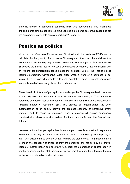

exercício teórico foi obrigado a ser muito mais uma pedagogia e uma informação principalmente dirigida aos leitores, uma vez que o problema da comunicação nos era prementemente posto pelo contexto português" (idem 174).

#### **Poetics as politics**

Moreover, the influence of Formalism and Structuralism in the poetics of PO.EX can be calculated by the quantity of allusions to Shklovsky and others, who have claimed that literariness exists in the quality of making something look strange, as if it were new. For Shklovsky, the normal use of the code automatizes perception, thus contrasting with art, where deautomatization takes place: the aesthetic use of the linguistic code liberates perception. Ostraneniye takes place when a word or a sentence is deterritorialized, de-contextualized from its literal, denotative sense, in order to renew and restore its level of complexity, its aesthetic information.

These two distinct forms of perception acknowledged by Shklovsky are basic because, in our daily lives, the presence of the world ends up neutralizing it. This process of automatic perception results in repeated alienation, and for Shklovsky it represents an "algebric method of reasoning" (58). This process of "algebraization, the overautomatization of an object, permits the greatest economy of perceptive effort" (ibidem), and its range is enormous, since it crosses all human experience: "Habitualization devours works, clothes, furniture, one's wife, and the fear of war" (ibidem).

However, automatized perception has its counterpart: there is an aesthetic experience which marks the way we perceive the world and which is entailed by art and poetry. In fact, "[A]rt exists to make one feel things, to make the stone stony. The purpose of art is to impart the sensation of things as they are perceived and not as they are known" (ibidem). Another lesson can be drawn from here: the emergence of critical theory in aesthetics indicates the establishment of an ideological territory that interprets the real as the locus of alienation and trivialization.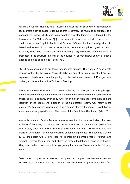

For Melo e Castro, Hatherly, and Tavares, as much as for Shklovsky or Eichenbaum, poetry offers a revitalization of language that is contrary, as much as contiguous, to a standardized model which was reminiscent of the standardization enforced by the dictatorship. For Melo e Castro "[o] dizer do poético é o dizer do tudo.... [e o] ver do poético é o ver total" (qtd. in Aguiar and Pestana 138), and the function of poetry is to defend and to resist to this "nada padronizado que tende a suprimir o gesto e o risco da invencão do novo" (Melo e Castro and Hatherly 138). Moreover, poetry exposes its processes in its structure, as well as its devices in its machinery: poetry is "poesia fazendo-se e não poesia feita" (idem 176).

PO.EX poets have tried to put these theories into practice. The slogan "A poesia está na rua", written by the painter Vieira da Silva on one of her paintings about April'74. expresses clearly what was happening on the walls and streets of Portugal. Ana Hatherly explains in her article "Voices of Reading":

There were moments of real communion of feeling and thought, and this privileged state of unanimity burst out in the open in a most creative way with the participation of artists, poets, musicians, everybody who felt in unison with the Revolution and the liberation of the people. As a slogan of the time stated, "poetry was really in the streets." Political posters, graffiti, and murals spread all over the country. Revolutionary speeches and songs proliferated. The voices of the Revolution filled the air. (idem 69)

In a similar manner. Salette Tavares has expressed that the democratization of art was an issue of the elites, not the masses, because anyone could understand poetry. She cites a story about the making of the graphic poem "Os efes", which translates with precision this interest for the aestheticizing of human experience. The poem is a 90 cm by 60 cm poster with 3 lowercase f's (representing perhaps "fado", "fátima" and "futebol"), without the outlines, and where the form of the letters is revealed by the text filling them. When it was send to a typography for printing. Tavares tells the following story:

Deve saber do que me aconteceu com quem os compôs: mandaram-me três em representação de todos os colegas de trabalho para me dizer que nunca tinham feito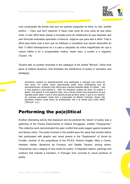

uma composicão tão bonita mas que me queriam perquntar se tinha, ou não, sentido político. – Claro que tem! respondi. E figuei mais certa de uma coisa de que estou certa: é mais difícil fazer passar a inovação junto de intelectuais do que daqueles que sem fórmulas ensinadas aprendem a frescura. Julga-se que para eles é difícil. Tudo é difícil para todos mas é bom que se habituem a considerar que devem desconfiar do fácil. O difícil intransponível só o é para a estupidez da rotina magnificada em que a cultura hábito é só a incapacidade criativa, neste caso, a surdez e a cequeira, ("Carta", 18)

Tavares tells us another anecdote in the catalogue of the exhibit "Brincar", which took place at Galeria Quadrum, that illustrates the interference of poetry in education and pedagogy:

aconteceu mostrar eu episodicamente uma exposição a crianças com cerca de seis anos. Fui várias vezes interrompida pelas duas professoras que as acompanhavam. Achavam tudo difícil para criancas daquela idade. Eu disse: – Isto é uma espiral e uma espiral é... Não me deixaram acabar de dizer, só acabei o gesto. Ora espiral é uma palavra linda, uma crianca ainda mais pequenina do que aquelas pode saber o que é uma espiral porque já deve saber o que é um caracol. As criancas percebem muito bem a exposição do Alberto Carneiro. Quem não percebeu mesmo nada foram as professoras, era ri al mente [sic] muito difícil. ("Brincar", s.p.)

#### **Performing the po(e)litical**

Another interesting activity that displaced and de-centered the "place" of poetry was a gathering of the Poesia Experimental at Galeria Divulgacão, entitled "Visopoemas." This collective work demonstrated the open conflict that poets waged against academic and literary critics. The poets involved in this exhibit were the same that months before had participated with graphic and visual poems in the "Suplemento" of Jornal do Fundão, another of the poepráticas of the PO.EX: António Aragão, Melo e Castro, Herberto Helder, Barahona da Fonseca, and Salette Tavares, among others, Visopoemas was a staging of new media for poetry: it integrated objects, paintings and outdoors that indicate a transition, in Portugal, from concrete to visual practices of poetry.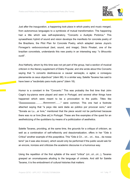

Just after the inauguration, a happening took place in which poetry and music merged, from autonomous languages to a symbiosis of mutual transformation. The happening had a title which was self-explanatory, "Concerto e Audição Pictórica." This synaesthesic hybrid of sound and vision develops the manifesto for concrete poetry of the Brazilians, the Pilot Plan for Concrete Poetry, which adapted James Joyce's Finnegan's verbovocovisual (text, sound, and image). Décio Pinatari, one of the brazilian concretists, understands this new poetry in an interesting way: "o ôlhouvido ouvê".

Ana Hatherly, whom by this time was not yet part of the group, had a section of musical criticism in the literary supplement of Diário Popular, and she wrote about this Concerto saving that "o concerto destinava-se a causar sensação, e agitar, e conseguiu plenamente os seus objectivos" (idem 98). In a similar way, Salette Tavares has said to have been a "escândalo para muito parvo" (idem 18).

Humor is a constant in the "Concerto." This was probably the first time that John Cage's toy-pianos were played and seen in Portugal, and several other things have happened which were meant to be a provocation to the public. Titles like attached saying that "a peca não será dada ao público por provocar sono," and "Sonata ao Lu....ar livre," mentioned that the piece would not be performed because there was no ar livre [free air] in Portugal. These are fine examples of the quest for an aestheticizing of the quotidiano by means of a politicization of aesthetics.

Salette Tavares, providing, at the same time, the grounds for a critique of criticism, as well as a combination of self-reflexivity and deautomatization, offers in her "Ode à Crítica" another example of this poeprática. This "Ode à Cri... cri... cri... tica... da nossa terra" (as it was also known), which would only be performed if the public would ask for an encore, ironizes and criticizes the academic discourse in a humorous way.

Using the repetition of the first syllable of the word "critica" (cri...cri...cri...), Tavares grasped an onomatopoeia alluding to the language of crickets. And still for Salette Tavares, it is the embodiment of cultural histories that matters: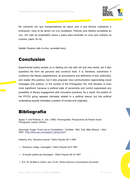

No momento em que transportadores do piano com a sua técnica cuidadosa o inclinavam, rolou lá de dentro um ovo verdadeiro. Parecia uma história surrealista ao vivo. Um neto do proprietário usava o piano para esconder os ovos que roubava na cozinha. (idem 18-19)

Salette Tavares calls it a live, surrealist story.

#### **Conclusion**

Experimental poetry assists us in dealing not only with old and new media, but it also questions the form we perceive and construct texts. It is, therefore, subversive: it condemns the literary establishment, its assumptions and definitions of text, author(ity), and reader (the poetics), but it also proposes new communicative regenerating social messages (the politics). In the context of the Portuguese 70s, that situation is even more significant, because a political state of censorship and control suppressed any possibility of literary engagement with innovative practices. As a result, the poetics of the PO.EX group appears intimately related to a political stance, but this political undertaking equally translates a poetics of novelty and originality.

#### **Bibliografia**

Aguiar, F. and Pestana, S., eds. (1985). Poemografias: Perspectivas da Poesia Visual Portuguesa. Lisboa, Ulmeiro.

Gomringer, Eugen "From Line to Constellation." UbuWeb. 1954. Trad. Mike Weaver. 1 Abril 2002. <http://www.ubu.com/papers\_frames.html>.

Hatherly, Ana. "Semana musical." Diário Popular 28-1-1965.

---. "Estrutura, código, mensagem." Diário Popular 25-5-1967

---. "A função poética da mensagem." Diário Popular 26-10-1967

---. & E. M. de Melo e Castro, eds. Po.Ex: Textos teóricos e documentos da poesia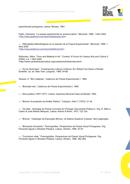

experimental portuguesa, Lisboa: Moraes, 1981,

Padin, Clemente, "La poesia experimental en america latina," Merzmail, 1996, 1 Abril 2002 <http://www.abaforum.es/merzmail/lapoesia.htm>.

---. "Dificultades Metodológicas en el examen de la Poesía Experimental." *Merzmail*. 1996. 1 Abril 2002 <http://www.abaforum.es/merzmail/dificult.htm>.

Shklovsky, Viktor. "Form and Material in Art." Context: A Forum for Literary Arts and Culture 2 (2000): s.p. 1 Abril 2002 <http://www.centerforbookculture.org/context/no2/shklovsky.html>

---. "Art as Technique." Contemporary Literary Criticism. Ed. Robert Con Davis e Ronald Schleifer. 2a. ed. New York: Longman, 1989. 54-66.

Tavares, S. "Brin cadeiras", Cadernos de Poesia Experimental-1, 1964.

---. "Brincade iras". Cadernos de Poesia Experimental-2, 1966.

---, *Obra poética (1957-1971)*, Lisboa: Imprensa Nacional Casa da Moeda, 1992.

---, "Brincar (A propósito de Amélia Toledo)," Cológuio, Artes 7 (1972); 31-34,

---, "Os efes", *Antologia da Poesia Concreta em Portugal*, Documenta Poética 2, Org, E, Melo e Castro & José Alberto Marques. Lisboa: Assírio & Alvim. 1973. 122-124.

---, "Brincar." *Catáologo da Exposicão Brincar*, na Galeria Quadrum (Lisboa), Sem paginação,

---, "Brincando brincando." *Poemografias, Perspectivas da Poesia Visual Portuguesa,* Org. Fernando Aquiar e Silvestre Pestana, Lisboa: Ulmeiro, 1985, 57-61

---, "Curriculum vitae." *Poemografias, Perspectivas da Poesia Visual Portuguesa,* Org. Fernando Aquiar e Silvestre Pestana, Lisboa: Ulmeiro, 1985, 262-268.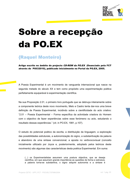

### Sobre a recepção da PO.EX

#### **{Raquel Monteiro}**

Artigo escrito no âmbito do projecto *CD-ROM da PO.EX* (financiado pela FCT através do POCI2010), publicado inicialmente no Portal da PO.EX, 2005.

A Poesia Experimental é um movimento de vanguarda internacional que nasce na segunda metade do século XX e tem como propósito uma experimentação poética perfeitamente equiparável à experimentação científica.

Na sua Proposicão 2.01, o primeiro livro português que se debruca inteiramente sobre a componente teórica deste novo movimento, Melo e Castro tenta dar-nos uma breve definição de Poesia Experimental, incidindo sobre a cientificidade do acto criativo: "2.01 – Poesia Experimental – Forma específica da actividade criadora do Homem com o objectivo de fazer experiências sobre esse fenómeno ou acto, estudando o resultado dessas experiências." (cit. in PO.EX, 1981, p.107).

O estudo do potencial poético da escrita, a distribuição da linguagem, a exploração das possibilidades estruturais, a autonomização do signo, a substantivação da palavra e abandono de uma sintaxe convencional, a aposta no verbivocovisual (conceito inicialmente utilizado por Joyce e, posteriormente, adoptado pelos teóricos deste movimento) são algumas das características desta poética Experimental. Em suma:

(...) os Experimentalistas assumem uma postura objectiva, que se deseja científica, em que assumem grande importância as questões de forma e estrutura; a palavra torna-se substantiva, o signo adquire autonomia e a sintaxe é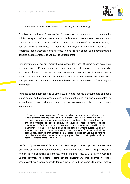

fraccionada favorecendo o conceito de constelação. (Ana Hatherly)

A utilizacão do termo "constelacão" é originário de Gomringer, uma das muitas influências que confluem nesta prática literária – a poesia visual dos dadaístas. surrealistas e letristas, as experiências matemático-combinatórias de Max Bense, o estruturalismo, a semiótica, a teoria da informação, a linguística moderna... – reiteradas constantemente nos diversos textos de teorização que acompanham o trabalho poético/artístico da vanguarda Experimental.

Este movimento surge, em Portugal, em meados dos anos 60, numa época de silêncio e de opressão. Estávamos em pleno regime ditatorial. Este ambiente político impedianos de conhecer o que se passava no exterior das nossas fronteiras, pois a informação era completa e excessivamente filtrada ou até mesmo censurada. Eis o principal motivo do marasmo cultural e artístico que se vivia desde o início do regime salazarista.

Num dos textos publicados no volume Po.Ex: Textos teóricos e documentos da poesia experimental portuguesa encontramos o testemunho dos principais elementos do grupo Experimental português. Citaremos apenas algumas linhas de um desses testemunhos:

(...) inseri-me noutro contexto (...) onde se viviam determinadas vivências e se faziam determinadas experiências de tipo criativo, sobretudo Franca e Itália, e aí eu concebi uma nova maneira de recriar aguilo que tinha deixado para trás e que era uma tradição da poesia portuguesa. Quando passados tempos chego novamente a Portugal encontro tudo na mesma, estratificado, politicamente inacreditável, e então eu vi que a gente chega aqui e realmente sufoca. Dá-se um encontro ocasional com mais um poeta e comeco a falar: - «É pá, isto agui não se passa nada, estamos enguadrados numa situação política terrível que se reflecte na actividade criativa: temos de fazer qualquer coisa, isto não pode continuar assim». (António Aragão, cit in PO.EX)

De facto, "gualquer coisa" foi feita. Em 1964, foi publicado o primeiro número dos Cadernos de Poesia Experimental, dos quais fizeram parte António Aragão, Herberto Helder, António Barahona da Fonseca, António Ramos Rosa, E. M. de Melo e Castro e Salette Tavares. As páginas desta revista encerravam uma enorme novidade. proporcional ao choque causado tanto a nível do público como da crítica literária.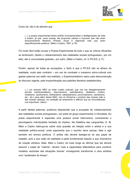

Como tal, não é de admirar que

(...) a poesia experimental tenha sofrido incompreensões e desfigurações de toda a ordem, iá que, como poesia, ela propunha valores e recursos que não eram exclusivamente literários (Poesia visual e obiectual) mas que eram especificamente poéticos. (Melo e Castro, 1987, p.79)

Foi muito fácil então acusar a Poesia Experimental de tudo o que os críticos oficiantes se lembraram, desde o «distanciamento das realidades sociais portuguesas», por um lado, até à «iconoclastia gratuita», por outro, (Melo e Castro, cit. in PO.EX, p.11)

Porém, apesar de todas as acusações, o facto é que a PO.EX não se alheou da realidade, muito pelo contrário – em vez de combater o marasmo sócio-cultural com gastas palavras (ao estilo neo-realista), o Experimentalismo optou pela desconstrução do discurso vigente, pela insubordinação aos padrões literários estabelecidos.

 $\dots$ ) um resoluto NÃO ao triste «caldo cultural» que nos era obrigatoriamente servido (sentimentalismo, discursivismo, patrioteirismo, idealismo místico, vedetismo, oportunismo, brilhantismo, sebastianismo, provincianismo, carreirismo, etc., etc.) para além desse NÃO, nós só tínhamos o produto das nossas mão e das nossas cabecas, na condicão de isolamento e silêncio que as circunstâncias nos impunham. (idem)

A partir destas palavras, podemos depreender que a acusação de «distanciamento das realidades sociais portuguesas», por parte do grupo experimental, é infundada. Do poeta experimental é esperada uma postura social interventiva, contrariando o psicologismo individualista herdado do Orpheu. Na Dialética das vanguardas. E. M. Melo e Castro debruca-se sobre esta questão da relação entre o artista e a sua realidade político-social, onde argumenta que o escritor deve pensar, falar e agir também em termos políticos. O artista não deverá desligar-se do seu papel de cidadão, pois a sua visão da realidade é parte fundamental daguilo a que chamamos de criação artística. Aliás. Melo e Castro vai mais longe ao afirmar que ele deverá assumir o papel de "vidente", deverá "usar a capacidade efabuladora para construir modelos vectoriais das situações futuras" conseguindo transformar a obra artística num "acelerador do tempo".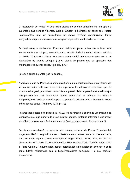

O "acelerador do tempo" é uma clara alusão ao espírito vanguardista, um apelo à superação das normas vigentes. Esta é também a definição do papel dos Poetas Experimentais, que, ao subverterem as regras literárias padronizadas, foram marginalizados por um meio cultural incapaz de perceber um trabalho renovador.

Provavelmente, a verdadeira dificuldade residia no papel activo que o leitor teria forcosamente que adoptar, entrando numa relação dinâmica com o obiecto artístico produzido. "O trabalho criador do artista experimental é precisamente criar estruturas atomizadas de grande entropia  $(...)$  O utente do poema que se aperceba das informações de que for capaz." (op. cit., p.79)

Porém, a crítica de então não foi capaz...

A verdade é que os Poetas Experimentais tinham um aparelho crítico, uma informação teórica, na maior parte dos casos muito superior à dos críticos em exercício, que, de uma maneira geral, praticavam uma crítica impressionista ou pseudo-neo-realista que não permitia aos seus praticantes aguela rotura com os métodos de leitura e interpretação do texto necessários para a apreensão, identificação e finalmente leitura crítica desses textos. (Hatherly, 1979, p.119)

Perante todas estas dificuldades, a PO.EX viu-se forcada a criar todo um trabalho de teorização que legitimaria toda a sua prática poética, tentando informar e esclarecer um público desinformado (voluntariamente? / preguicosamente? / forcosamente?).

Depois da estupefacção provocada pelo primeiro caderno da Poesia Experimental. surge, em 1966, o segundo número. Neste caderno vemos novos actores em cena. entre os quais alguns poetas estrangeiros: Edgar Braga, Emílio Villa, Haroldo de Campos, Henry Chopin, Ian Hamilton Finlay, Mike Weaver, Mário Diácono, Pedro Xisto e Pierre Garnier. A enumeração destas participações internacionais leva-nos a outro ponto fulcral, relacionado com o Experimentalismo português – o seu carácter internacional.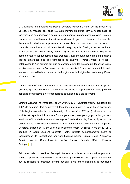

O Movimento Internacional de Poesia Concreta começa a sentir-se, no Brasil e na Europa, em meados dos anos 50. Este movimento surge com a necessidade de renovação na comunicação e destruição dos padrões literários estabelecidos. Os seus percursores consideraram imperiosa a desconstrução do discurso obsoleto das literaturas instaladas e propuseram um novo discurso, que teria o seu suporte no poder da comunicação visual "a functional poetry, capable of being extended to the art of the slogan, the poster" (Bory, 1968, p.9). É a aposta no tratamento da linguagem como obiecto visual que tornará esta proposta viável em qualquer idioma, ou melhor, a ligação simultânea das três dimensões da palavra – verbal, vocal e visual –, estabelecendo "um sistema em que se consideram todas as suas unidades: as letras. as sílabas e as palavras/fonemas. Um sistema sensível à qualidade material de cada elemento, no qual haja a constante distribuicão e redistribuicão das unidades gráficas." (Camara, 2000, p.52)

A título exemplificativo mencionaremos duas importantíssimas antologias de poesia Concreta que nos elucidam relativamente ao carácter supranacional desse projecto. deixando bem patente a heterogeneidade daqueles que a ele aderiram:

Emmett Williams, na introdução de An Anthology of Concrete Poetry, publicada em 1967, dá-nos uma ideia da universalidade deste movimento "The confused goegraphy of its beginnings reflects the universality of its roots." (1967, p.vi), através de uma sucinta retrospectiva, iniciada em Gomringer e que passa pelo grupo de Noigandres. terminando "in such diverse social settings as Czechoslovaguia. France, Spain and the United States", Ideia essa descrita com maior detalhe numa outra antologia de poesia Concreta, editada por Mary Ellen Solt (Concrete Poetry: A World View, de 1970). O capítulo "A World Look At Concrete Poetry" reflecte demoradamente sobre as repercussões do Concretismo em variadíssimos países (Suíca, Brasil, Alemanha, Áustria, Islândia, Checoslováguia, Japão, Turguia, Canadá, México, Escócia, Portugal<mark>[1</mark>]…).

Tal como pudemos verificar. Portugal não estava isolado nesta inovadora producão poética. Apesar do ostracismo e da repressão generalizada que o país atravessava. que se reflectia na producão literária nacional e na "crítica galhofeira do tradicional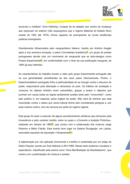

escarneo e maldizer" (Ana Hatherly), incapaz de se adaptar aos ventos de mudança que sopravam do exterior (não esqueçamos que o regime ditatorial do Estado Novo resiste de 1932 até 1974), fomos capazes de acompanhar as novas tendências poéticas emergentes.

Grandemente influenciados pelo vanguardismo italiano, trazido por António Aragão após a sua aventura europeia, e pelos Concretistas brasileiros<sup>2</sup>, um grupo de poetas portugueses decide criar um movimento de vanguarda que se auto-designa como Poesia Experimental<sup>3</sup>, em conformidade com o título da sua publicação inaugural, de 1964 (já agui referida).

As características do trabalho levado a cabo pelo grupo Experimental português são na sua generalidade semelhantes às dos seus pares internacionais. Porém, o Experimentalismo português tinha a particularidade de se insurgir contra o discurso do poder, responsável pela alienação e retrocesso do país. Os hábitos de aceitação e consumo do objecto artístico eram subvertidos, graças a textos e objectos que punham em causa todas as regras tacitamente aceites tanto pelo "consumidor", como pelo público e, em especial, pelos órgãos do poder. Não será de admirar que esta insurreição contra o status quo sócio-cultural tenha sido considerada perigosa e, por esse mesmo motivo, alvo de censura por parte do regime vigente.

Este grupo foi autor e executor de alguns acontecimentos artísticos que primavam pela irreverência e pelo carácter insólito, entre os quais o «Concerto e Audição Pictórica», realizado em Janeiro de 1965<sup>4</sup>, que contou com a colaboração dos músicos Jorge Peixinho e Mário Falcão. Este evento teve lugar na Galeria Divulgação, em Lisboa, executado aguando da exposição «Visopoemas<sup>5</sup>».

A adjectivação por nós aplicada (irreverente e insólito) é sustentada por um artigo do Diário Popular, escrito por Ana Hatherly a 28/1/1965. Nesse texto podemos visualizar o espectáculo, classificado pela autora como "Uma Manifestação de Neodadaísmo", que contou com a participação de músicos e poetas.